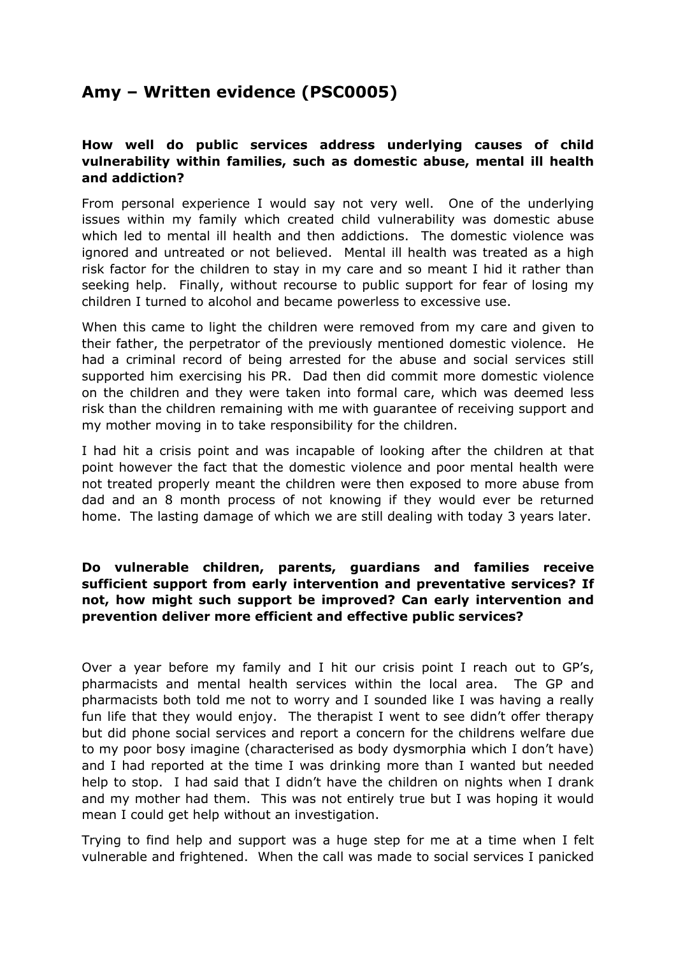# **Amy – Written evidence (PSC0005)**

## **How well do public services address underlying causes of child vulnerability within families, such as domestic abuse, mental ill health and addiction?**

From personal experience I would say not very well. One of the underlying issues within my family which created child vulnerability was domestic abuse which led to mental ill health and then addictions. The domestic violence was ignored and untreated or not believed. Mental ill health was treated as a high risk factor for the children to stay in my care and so meant I hid it rather than seeking help. Finally, without recourse to public support for fear of losing my children I turned to alcohol and became powerless to excessive use.

When this came to light the children were removed from my care and given to their father, the perpetrator of the previously mentioned domestic violence. He had a criminal record of being arrested for the abuse and social services still supported him exercising his PR. Dad then did commit more domestic violence on the children and they were taken into formal care, which was deemed less risk than the children remaining with me with guarantee of receiving support and my mother moving in to take responsibility for the children.

I had hit a crisis point and was incapable of looking after the children at that point however the fact that the domestic violence and poor mental health were not treated properly meant the children were then exposed to more abuse from dad and an 8 month process of not knowing if they would ever be returned home. The lasting damage of which we are still dealing with today 3 years later.

## **Do vulnerable children, parents, guardians and families receive sufficient support from early intervention and preventative services? If not, how might such support be improved? Can early intervention and prevention deliver more efficient and effective public services?**

Over a year before my family and I hit our crisis point I reach out to GP's, pharmacists and mental health services within the local area. The GP and pharmacists both told me not to worry and I sounded like I was having a really fun life that they would enjoy. The therapist I went to see didn't offer therapy but did phone social services and report a concern for the childrens welfare due to my poor bosy imagine (characterised as body dysmorphia which I don't have) and I had reported at the time I was drinking more than I wanted but needed help to stop. I had said that I didn't have the children on nights when I drank and my mother had them. This was not entirely true but I was hoping it would mean I could get help without an investigation.

Trying to find help and support was a huge step for me at a time when I felt vulnerable and frightened. When the call was made to social services I panicked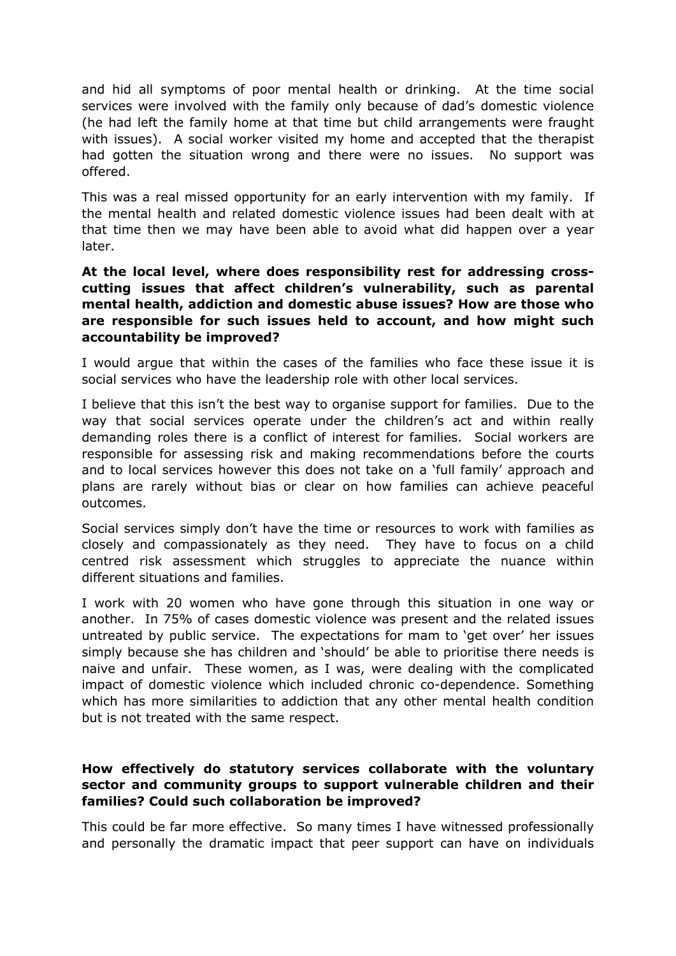and hid all symptoms of poor mental health or drinking. At the time social services were involved with the family only because of dad's domestic violence (he had left the family home at that time but child arrangements were fraught with issues). A social worker visited my home and accepted that the therapist had gotten the situation wrong and there were no issues. No support was offered.

This was a real missed opportunity for an early intervention with my family. If the mental health and related domestic violence issues had been dealt with at that time then we may have been able to avoid what did happen over a year later.

## **At the local level, where does responsibility rest for addressing crosscutting issues that affect children's vulnerability, such as parental mental health, addiction and domestic abuse issues? How are those who are responsible for such issues held to account, and how might such accountability be improved?**

I would argue that within the cases of the families who face these issue it is social services who have the leadership role with other local services.

I believe that this isn't the best way to organise support for families. Due to the way that social services operate under the children's act and within really demanding roles there is a conflict of interest for families. Social workers are responsible for assessing risk and making recommendations before the courts and to local services however this does not take on a 'full family' approach and plans are rarely without bias or clear on how families can achieve peaceful outcomes.

Social services simply don't have the time or resources to work with families as closely and compassionately as they need. They have to focus on a child centred risk assessment which struggles to appreciate the nuance within different situations and families.

I work with 20 women who have gone through this situation in one way or another. In 75% of cases domestic violence was present and the related issues untreated by public service. The expectations for mam to 'get over' her issues simply because she has children and 'should' be able to prioritise there needs is naive and unfair. These women, as I was, were dealing with the complicated impact of domestic violence which included chronic co-dependence. Something which has more similarities to addiction that any other mental health condition but is not treated with the same respect.

## **How effectively do statutory services collaborate with the voluntary sector and community groups to support vulnerable children and their families? Could such collaboration be improved?**

This could be far more effective. So many times I have witnessed professionally and personally the dramatic impact that peer support can have on individuals